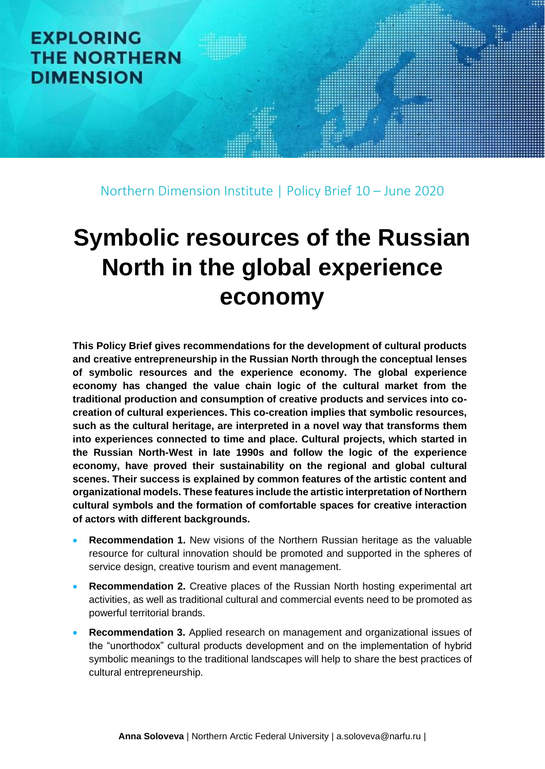# **EXPLORING THE NORTHERN DIMENSION**

Northern Dimension Institute | Policy Brief 10 – June 2020

# **Symbolic resources of the Russian North in the global experience economy**

**This Policy Brief gives recommendations for the development of cultural products and creative entrepreneurship in the Russian North through the conceptual lenses of symbolic resources and the experience economy. The global experience economy has changed the value chain logic of the cultural market from the traditional production and consumption of creative products and services into cocreation of cultural experiences. This co-creation implies that symbolic resources, such as the cultural heritage, are interpreted in a novel way that transforms them into experiences connected to time and place. Cultural projects, which started in the Russian North-West in late 1990s and follow the logic of the experience economy, have proved their sustainability on the regional and global cultural scenes. Their success is explained by common features of the artistic content and organizational models. These features include the artistic interpretation of Northern cultural symbols and the formation of comfortable spaces for creative interaction of actors with different backgrounds.** 

- **Recommendation 1.** New visions of the Northern Russian heritage as the valuable resource for cultural innovation should be promoted and supported in the spheres of service design, creative tourism and event management.
- **Recommendation 2.** Creative places of the Russian North hosting experimental art activities, as well as traditional cultural and commercial events need to be promoted as powerful territorial brands.
- **Recommendation 3.** Applied research on management and organizational issues of the "unorthodox" cultural products development and on the implementation of hybrid symbolic meanings to the traditional landscapes will help to share the best practices of cultural entrepreneurship.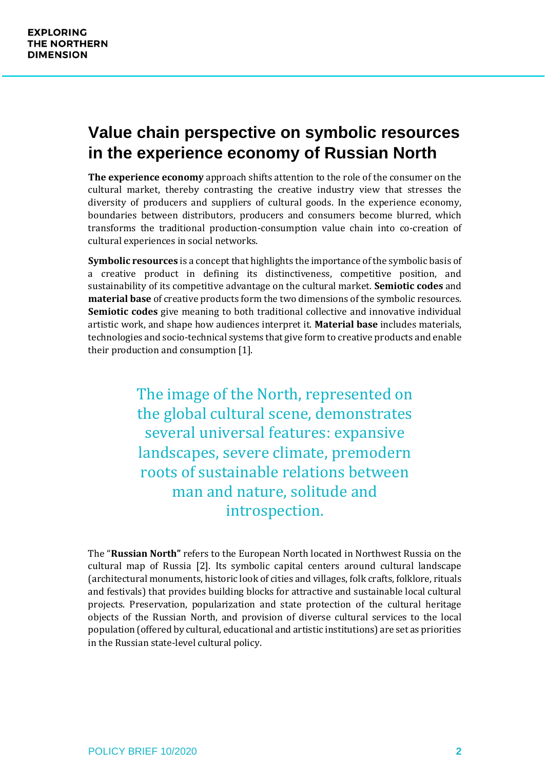## **Value chain perspective on symbolic resources in the experience economy of Russian North**

**The experience economy** approach shifts attention to the role of the consumer on the cultural market, thereby contrasting the creative industry view that stresses the diversity of producers and suppliers of cultural goods. In the experience economy, boundaries between distributors, producers and consumers become blurred, which transforms the traditional production-consumption value chain into co-creation of cultural experiences in social networks.

**Symbolic resources** is a concept that highlights the importance of the symbolic basis of a creative product in defining its distinctiveness, competitive position, and sustainability of its competitive advantage on the cultural market. **Semiotic codes** and **material base** of creative products form the two dimensions of the symbolic resources. **Semiotic codes** give meaning to both traditional collective and innovative individual artistic work, and shape how audiences interpret it. **Material base** includes materials, technologies and socio-technical systems that give form to creative products and enable their production and consumption [1].

> The image of the North, represented on the global cultural scene, demonstrates several universal features: expansive landscapes, severe climate, premodern roots of sustainable relations between man and nature, solitude and introspection.

The "**Russian North"** refers to the European North located in Northwest Russia on the cultural map of Russia [2]. Its symbolic capital centers around cultural landscape (architectural monuments, historic look of cities and villages, folk crafts, folklore, rituals and festivals) that provides building blocks for attractive and sustainable local cultural projects. Preservation, popularization and state protection of the cultural heritage objects of the Russian North, and provision of diverse cultural services to the local population (offered by cultural, educational and artistic institutions) are set as priorities in the Russian state-level cultural policy.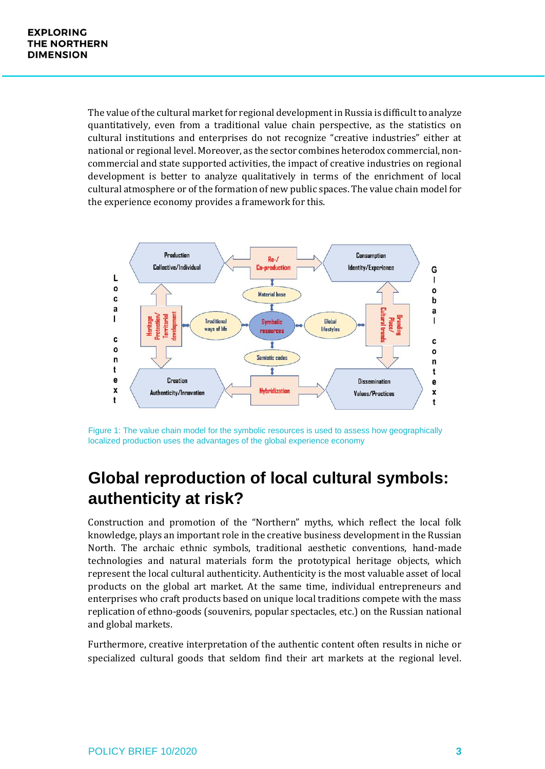The value of the cultural market for regional development in Russia is difficult to analyze quantitatively, even from a traditional value chain perspective, as the statistics on cultural institutions and enterprises do not recognize "creative industries" either at national or regional level. Moreover, as the sector combines heterodox commercial, noncommercial and state supported activities, the impact of creative industries on regional development is better to analyze qualitatively in terms of the enrichment of local cultural atmosphere or of the formation of new public spaces. The value chain model for the experience economy provides a framework for this.



Figure 1: The value chain model for the symbolic resources is used to assess how geographically localized production uses the advantages of the global experience economy

## **Global reproduction of local cultural symbols: authenticity at risk?**

Construction and promotion of the "Northern" myths, which reflect the local folk knowledge, plays an important role in the creative business development in the Russian North. The archaic ethnic symbols, traditional aesthetic conventions, hand-made technologies and natural materials form the prototypical heritage objects, which represent the local cultural authenticity. Authenticity is the most valuable asset of local products on the global art market. At the same time, individual entrepreneurs and enterprises who craft products based on unique local traditions compete with the mass replication of ethno-goods (souvenirs, popular spectacles, etc.) on the Russian national and global markets.

Furthermore, creative interpretation of the authentic content often results in niche or specialized cultural goods that seldom find their art markets at the regional level.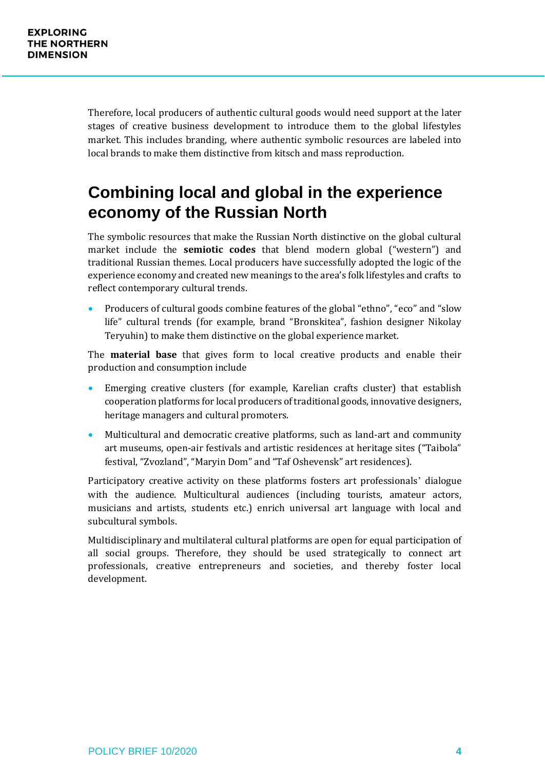Therefore, local producers of authentic cultural goods would need support at the later stages of creative business development to introduce them to the global lifestyles market. This includes branding, where authentic symbolic resources are labeled into local brands to make them distinctive from kitsch and mass reproduction.

## **Combining local and global in the experience economy of the Russian North**

The symbolic resources that make the Russian North distinctive on the global cultural market include the **semiotic codes** that blend modern global ("western") and traditional Russian themes. Local producers have successfully adopted the logic of the experience economy and created new meanings to the area's folk lifestyles and crafts to reflect contemporary cultural trends.

• Producers of cultural goods combine features of the global "ethno", "eco" and "slow life" cultural trends (for example, brand "Bronskitea", fashion designer Nikolay Teryuhin) to make them distinctive on the global experience market.

The **material base** that gives form to local creative products and enable their production and consumption include

- Emerging creative clusters (for example, Karelian crafts cluster) that establish cooperation platforms for local producers of traditional goods, innovative designers, heritage managers and cultural promoters.
- Multicultural and democratic creative platforms, such as land-art and community art museums, open-air festivals and artistic residences at heritage sites ("Taibola" festival, "Zvozland", "Maryin Dom" and "Taf Oshevensk" art residences).

Participatory creative activity on these platforms fosters art professionals' dialogue with the audience. Multicultural audiences (including tourists, amateur actors, musicians and artists, students etc.) enrich universal art language with local and subcultural symbols.

Multidisciplinary and multilateral cultural platforms are open for equal participation of all social groups. Therefore, they should be used strategically to connect art professionals, creative entrepreneurs and societies, and thereby foster local development.